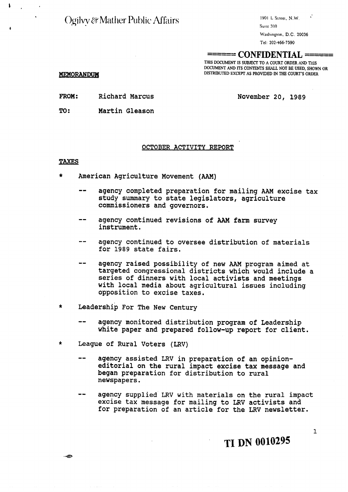Ogilvy & Mather Public Affairs

1901 L Street, N.W. Suite 300

Washington, D.C. 20036

Tel: **202-466-7590** 

# $=$  **CONFIDENTIAL** ==

THIS DOCUMENT IS SUBJECT TO A COURT ORDER AND THIS **DOCUMENT AND ITS CONTENTS SHALL NOT BE USED, SHOWN OR DISTRIBUTED EXCEPT AS PROVIDED IN THE COURT'S ORDER** 

# MEMORANDUM

 $\mathbf{I}$ 

FROM: Richard Marcus

November 20, 1989

TO: Martin Gleason

# OCTOBER ACTIVITY REPORT

# **TAXES**

- \* American Agriculture Movement **(AAM)** 
	- agency completed preparation for mailing AAM excise tax study summary to state legislators, agriculture commissioners and governors.
	- -- agency continued revisions of **AAM farm** survey instrument.
	- agency continued to oversee distribution of materials for 1989 state fairs.
	- agency raised possibility of new AAM program aimed at targeted congressional districts which would include a series of dinners with local activists and meetings with local media about agricultural issues including opposition to excise taxes.
- \* Leadership For The New Century
	- agency monitored distribution program of Leadership white paper and prepared follow-up report for client.
- \* League of Rural Voters **(LRV)** 
	- -- agency assisted **LRV** in preparation of an opinioneditorial on the rural impact excise tax message and began preparation for distribution to rural newspapers.
	- agency supplied LRV with materials on the rural impact excise tax message for mailing to LRV activists and for preparation of an article for the **LRV** newsletter.

**TI DN 0010295** 

 $\cdot$  +  $\oplus$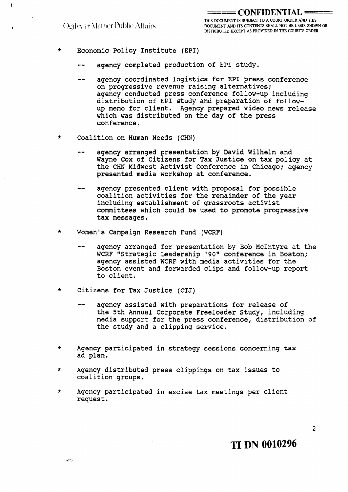$\ddot{\phantom{a}}$ 

------ ----- **CONFIDENTIAL** ==== THIS DOCUMENT IS SUBJECT TO A COURT ORDER AND THIS (a)  $\frac{1}{2}$  **27 27 III 27 <b>***DOCUMENT AND ITS CONTENTS SHALL NOT BE USED, SHOWN OR* **DISTRIBUTED EXCEPT AS PROVIDED IN THE COURT'S ORDER** 

- \* Economic Policy Institute (EPI)
	- agency completed production of EPI study.
	- -- agency coordinated logistics for EPI press conference on progressive revenue raising alternatives; agency conducted press conference follow-up including distribution of EPI study and preparation of followup memo for client. Agency prepared video news release which was distributed on the day of the press conference.
- \* Coalition on Human Needs (CHN)
	- agency arranged presentation by David Wilhelm and Wayne Cox of Citizens for Tax Justice on tax policy at the CHN Midwest Activist Conference in Chicago; agency presented media workshop at conference.
	- -- agency presented client with proposal for possible coalition activities for the remainder of the year including establishment of grassroots activist committees which could be used to promote progressive tax messages.
- \* Women's Campaign Research Fund (WCRF)
	- agency arranged for presentation by Bob McIntyre at the WCRF "Strategic Leadership '90" conference in Boston; agency assisted WCRF with media activities for the Boston event and forwarded clips and follow-up report to client.
- t Citizens for Tax Justice (CTJ)

 $\leftarrow$ 

- -- agency assisted with preparations for release of the 5th Annual Corporate Freeloader Study, including media support for the press conference, distribution of the study and a clipping service.
- \* Agency participated in strategy sessions concerning tax ad plan.
- \* Agency distributed press clippings on tax issues to coalition groups.
- \* Agency participated in excise tax meetings per client request,

**TI DN 0010296** 

 $\overline{2}$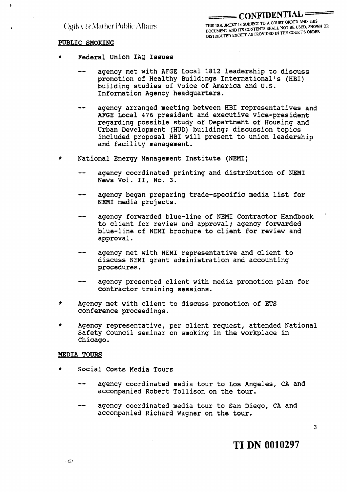Ogilyy & Mather Public Affairs

# **PUBLIC SMOKING**

ï

- Federal Union IAQ Issues
	- -- agency met with AFGE Local 1812 leadership to discuss promotion of Healthy Buildings International's (HBI) building studies of Voice of America and U,S. Information Agency headquarters.
	- -- agency arranged meeting between HBI representatives and AFGE Local 476 president and executive vice-president regarding possible study of Department of Housing and Urban Development (HUD) building; discussion topics included proposal HBI will present to union leadership and facility management.
- \* National Energy Management Institute (NEMI)
	- -- agency coordinated printing and distribution of NEMI News Vol. **11,** No. 3.
	- -- agency began preparing trade-specific media list for
	- agency forwarded blue-line of NEMI Contractor Handbook to client for review and approval; agency forwarded blue-line of NEMI brochure to client for review and approval.
	- agency met with NEMI representative and client to discuss NEMI grant administration and accounting procedures.
	- -- agency presented client with media promotion plan for contractor training sessions.
- \* Agency met with client to discuss promotion of ETS conference proceedings.
- \* Agency representative, per client request, attended National Safety Council seminar on smoking in the workplace in Chicago.

#### **MEDIA TOURS**

- \* Social Costs Media Tours
	- -- agency coordinated media tour to Los Angeles, CA and accompanied Robert Tollison on the tour,
	- agency coordinated media tour to San Diego, CA and accompanied Richard Wagner on the tour.

 $\overline{3}$ 

**TI DN 0010297**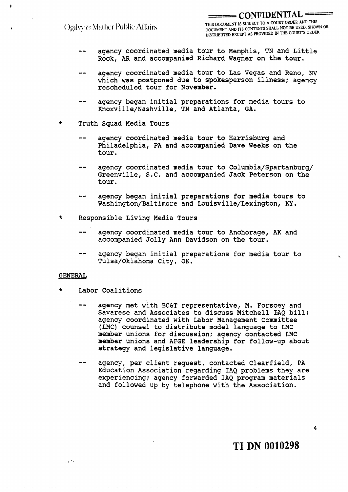Ogilyy & Mather Public Affairs

\_\_\_\_\_\_ -- **CONFIDENTIAL** - - =-= THIS DOCUMENT IS SUBJECT TO A COULT OF THE TISED SHOW **DOCUMENT AND ITS CONTENTS SHALL MOT BE SHALL DISTRIBUTED EXCEPT AS PROVIDED IN THE COURT'S ORDER** 

- agency coordinated media tour to Memphis, TN and Little Rock, **AR** and accompanied Richard Wagner on the tour.
- -- agency coordinated media tour to Las Vegas and Reno, **NV**  which was postponed due to spokesperson illness; agency rescheduled tour for November.
- agency began initial preparations for media tours to Knoxville/Nashville, TN and Atlanta, GA.
- Truth Squad Media Tours
	- agency coordinated media tour to Harrisburg and Philadelphia, PA and accompanied Dave **Weeks** on the tour.
	- agency coordinated media tour to Columbia/Spartanburg/ Greenville, S.C. and accompanied Jack Peterson on the tour.
	- agency began initial preparations for media tours to Washington/Baltimore and Louisville/Lexington, **KY.**
- \* Responsible Living Media Tours
	- agency coordinated media tour to Anchorage, AK and accompanied Jolly Ann Davidson on the tour.
	- -- agency began initial preparations for media tour to Tulsa/Oklahoma City, OK.

### **GENERAL**

وسعيري

- \* Labor Coalitions
	- agency met with BC&T representative, M. Forscey and Savarese and Associates to discuss Mitchell IAQ bill; agency coordinated with Labor Management Committee (LMC) counsel to distribute model language to LMC member unions for discussion; agency contacted LMC member unions and AFGE leadership for follow-up about strategy and legislative language.
	- agency, per client request, contacted Clearfield, PA Education Association regarding IAQ problems they are experiencing; agency forwarded IAQ program materials and followed up by telephone with the Association.

**TI DN 0010298** 

4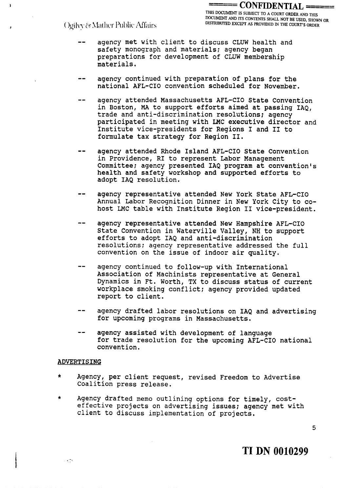ÿ

- -- agency met with client to discuss CLUW health and safety monograph and materials; agency began preparations for development of CLUW membership materials.
- agency continued with preparation of plans for the national AFL-CIO convention scheduled for November.
- -- agency attended Massachusetts AFL-CIO State Convention in Boston, MA to support efforts aimed at passing IAQ, trade and anti-discrimination resolutions; agency participated in meeting with LMC executive director and Institute vice-presidents for Regions I and I1 to formulate tax strategy for Region 11.
- agency attended Rhode Island AFL-CIO State Convention in Providence, RI to represent Labor Management Committee; agency presented IAQ program at convention's health and safety workshop and supported efforts to adopt IAQ resolution.
- agency representative attended New York State AFL-CIO Annual Labor Recognition Dinner in New York City to cohost LMC table with Institute Region I1 vice-president.
- agency representative attended New Hampshire AFL-CIO State Convention in Waterville Valley, NH to support efforts to adopt IAQ and anti-discrimination resolutions; agency representative addressed the full convention on the issue of indoor air quality.
- -- agency continued to follow-up with International Association of Machinists representative at General Dynamics in Ft. Worth, TX to discuss status of current workplace smoking conflict; agency provided updated report to client.
- agency drafted labor resolutions on IAQ and advertising for upcoming programs in Massachusetts.
- agency assisted with development of language for trade resolution for the upcoming AFL-CIO national convention.

# ADVERTISING

- \* Agency, per client request, revised Freedom to Advertise Coalition press release.
- \* Agency drafted memo outlining options for timely, costeffective projects on advertising issues; agency met with client to discuss implementation of projects,

5

**TI DN 0010299** 

 $\sim 10^4$